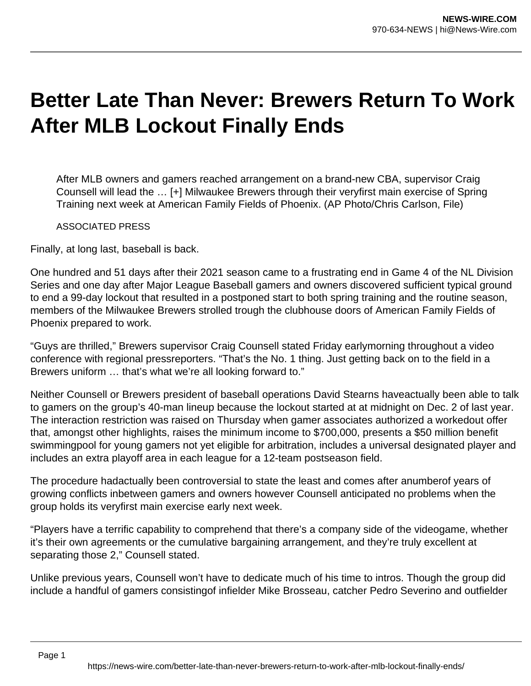## **Better Late Than Never: Brewers Return To Work After MLB Lockout Finally Ends**

After MLB owners and gamers reached arrangement on a brand-new CBA, supervisor Craig Counsell will lead the … [+] Milwaukee Brewers through their veryfirst main exercise of Spring Training next week at American Family Fields of Phoenix. (AP Photo/Chris Carlson, File)

ASSOCIATED PRESS

Finally, at long last, baseball is back.

One hundred and 51 days after their 2021 season came to a frustrating end in Game 4 of the NL Division Series and one day after Major League Baseball gamers and owners discovered sufficient typical ground to end a 99-day lockout that resulted in a postponed start to both spring training and the routine season, members of the Milwaukee Brewers strolled trough the clubhouse doors of American Family Fields of Phoenix prepared to work.

"Guys are thrilled," Brewers supervisor Craig Counsell stated Friday earlymorning throughout a video conference with regional pressreporters. "That's the No. 1 thing. Just getting back on to the field in a Brewers uniform … that's what we're all looking forward to."

Neither Counsell or Brewers president of baseball operations David Stearns haveactually been able to talk to gamers on the group's 40-man lineup because the lockout started at at midnight on Dec. 2 of last year. The interaction restriction was raised on Thursday when gamer associates authorized a workedout offer that, amongst other highlights, raises the minimum income to \$700,000, presents a \$50 million benefit swimmingpool for young gamers not yet eligible for arbitration, includes a universal designated player and includes an extra playoff area in each league for a 12-team postseason field.

The procedure hadactually been controversial to state the least and comes after anumberof years of growing conflicts inbetween gamers and owners however Counsell anticipated no problems when the group holds its veryfirst main exercise early next week.

"Players have a terrific capability to comprehend that there's a company side of the videogame, whether it's their own agreements or the cumulative bargaining arrangement, and they're truly excellent at separating those 2," Counsell stated.

Unlike previous years, Counsell won't have to dedicate much of his time to intros. Though the group did include a handful of gamers consistingof infielder Mike Brosseau, catcher Pedro Severino and outfielder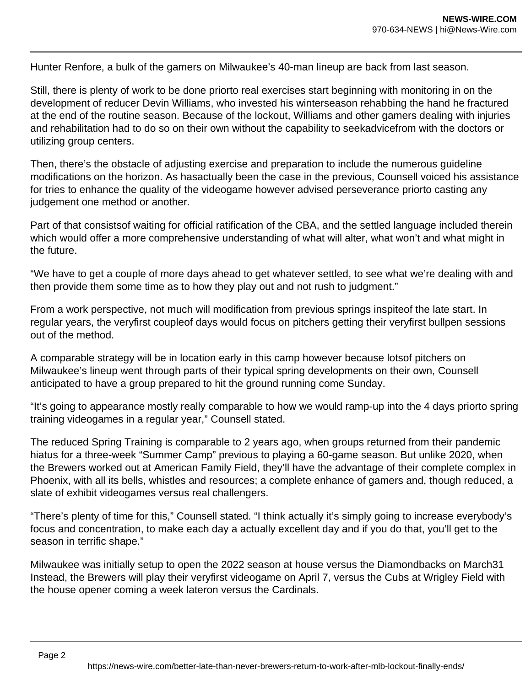Hunter Renfore, a bulk of the gamers on Milwaukee's 40-man lineup are back from last season.

Still, there is plenty of work to be done priorto real exercises start beginning with monitoring in on the development of reducer Devin Williams, who invested his winterseason rehabbing the hand he fractured at the end of the routine season. Because of the lockout, Williams and other gamers dealing with injuries and rehabilitation had to do so on their own without the capability to seekadvicefrom with the doctors or utilizing group centers.

Then, there's the obstacle of adjusting exercise and preparation to include the numerous guideline modifications on the horizon. As hasactually been the case in the previous, Counsell voiced his assistance for tries to enhance the quality of the videogame however advised perseverance priorto casting any judgement one method or another.

Part of that consistsof waiting for official ratification of the CBA, and the settled language included therein which would offer a more comprehensive understanding of what will alter, what won't and what might in the future.

"We have to get a couple of more days ahead to get whatever settled, to see what we're dealing with and then provide them some time as to how they play out and not rush to judgment."

From a work perspective, not much will modification from previous springs inspiteof the late start. In regular years, the veryfirst coupleof days would focus on pitchers getting their veryfirst bullpen sessions out of the method.

A comparable strategy will be in location early in this camp however because lotsof pitchers on Milwaukee's lineup went through parts of their typical spring developments on their own, Counsell anticipated to have a group prepared to hit the ground running come Sunday.

"It's going to appearance mostly really comparable to how we would ramp-up into the 4 days priorto spring training videogames in a regular year," Counsell stated.

The reduced Spring Training is comparable to 2 years ago, when groups returned from their pandemic hiatus for a three-week "Summer Camp" previous to playing a 60-game season. But unlike 2020, when the Brewers worked out at American Family Field, they'll have the advantage of their complete complex in Phoenix, with all its bells, whistles and resources; a complete enhance of gamers and, though reduced, a slate of exhibit videogames versus real challengers.

"There's plenty of time for this," Counsell stated. "I think actually it's simply going to increase everybody's focus and concentration, to make each day a actually excellent day and if you do that, you'll get to the season in terrific shape."

Milwaukee was initially setup to open the 2022 season at house versus the Diamondbacks on March31 Instead, the Brewers will play their veryfirst videogame on April 7, versus the Cubs at Wrigley Field with the house opener coming a week lateron versus the Cardinals.